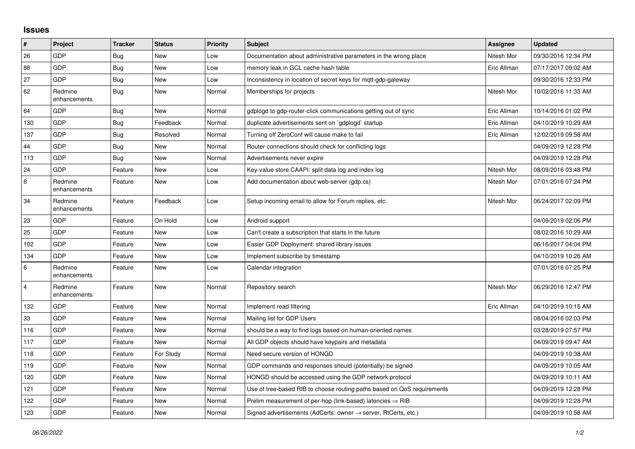## **Issues**

| #              | Project                 | <b>Tracker</b> | <b>Status</b> | <b>Priority</b> | <b>Subject</b>                                                             | Assignee    | <b>Updated</b>      |
|----------------|-------------------------|----------------|---------------|-----------------|----------------------------------------------------------------------------|-------------|---------------------|
| 26             | GDP                     | Bug            | <b>New</b>    | Low             | Documentation about administrative parameters in the wrong place           | Nitesh Mor  | 09/30/2016 12:34 PM |
| 88             | GDP                     | Bug            | <b>New</b>    | Low             | memory leak in GCL cache hash table                                        | Eric Allman | 07/17/2017 09:02 AM |
| 27             | <b>GDP</b>              | <b>Bug</b>     | <b>New</b>    | Low             | nconsistency in location of secret keys for mgtt-gdp-gateway               |             | 09/30/2016 12:33 PM |
| 62             | Redmine<br>enhancements | <b>Bug</b>     | <b>New</b>    | Normal          | Memberships for projects                                                   | Nitesh Mor  | 10/02/2016 11:33 AM |
| 64             | <b>GDP</b>              | Bug            | <b>New</b>    | Normal          | gdplogd to gdp-router-click communications getting out of sync             | Eric Allman | 10/14/2016 01:02 PM |
| 130            | <b>GDP</b>              | Bug            | Feedback      | Normal          | duplicate advertisements sent on `gdplogd` startup                         | Eric Allman | 04/10/2019 10:29 AM |
| 137            | GDP                     | Bug            | Resolved      | Normal          | Turning off ZeroConf will cause make to fail                               | Eric Allman | 12/02/2019 09:58 AM |
| 44             | <b>GDP</b>              | <b>Bug</b>     | <b>New</b>    | Normal          | Router connections should check for conflicting logs                       |             | 04/09/2019 12:28 PM |
| 113            | GDP                     | Bug            | <b>New</b>    | Normal          | Advertisements never expire                                                |             | 04/09/2019 12:28 PM |
| 24             | GDP                     | Feature        | <b>New</b>    | Low             | Key-value store CAAPI: split data log and index log                        | Nitesh Mor  | 08/09/2016 03:48 PM |
| 8              | Redmine<br>enhancements | Feature        | New           | Low             | Add documentation about web-server (gdp.cs)                                | Nitesh Mor  | 07/01/2016 07:24 PM |
| 34             | Redmine<br>enhancements | Feature        | Feedback      | Low             | Setup incoming email to allow for Forum replies, etc.                      | Nitesh Mor  | 06/24/2017 02:09 PM |
| 23             | GDP                     | Feature        | On Hold       | Low             | Android support                                                            |             | 04/09/2019 02:06 PM |
| 25             | <b>GDP</b>              | Feature        | <b>New</b>    | Low             | Can't create a subscription that starts in the future                      |             | 08/02/2016 10:29 AM |
| 102            | GDP                     | Feature        | <b>New</b>    | Low             | Easier GDP Deployment: shared library issues                               |             | 06/16/2017 04:04 PM |
| 134            | GDP                     | Feature        | <b>New</b>    | Low             | Implement subscribe by timestamp                                           |             | 04/10/2019 10:26 AM |
| 6              | Redmine<br>enhancements | Feature        | New           | Low             | Calendar integration                                                       |             | 07/01/2016 07:25 PM |
| $\overline{4}$ | Redmine<br>enhancements | Feature        | <b>New</b>    | Normal          | Repository search                                                          | Nitesh Mor  | 06/29/2016 12:47 PM |
| 132            | <b>GDP</b>              | Feature        | <b>New</b>    | Normal          | Implement read filtering                                                   | Eric Allman | 04/10/2019 10:15 AM |
| 33             | <b>GDP</b>              | Feature        | New           | Normal          | Mailing list for GDP Users                                                 |             | 08/04/2016 02:03 PM |
| 116            | <b>GDP</b>              | Feature        | New           | Normal          | should be a way to find logs based on human-oriented names                 |             | 03/28/2019 07:57 PM |
| 117            | GDP                     | Feature        | <b>New</b>    | Normal          | All GDP objects should have keypairs and metadata                          |             | 04/09/2019 09:47 AM |
| 118            | GDP                     | Feature        | For Study     | Normal          | Need secure version of HONGD                                               |             | 04/09/2019 10:38 AM |
| 119            | GDP                     | Feature        | <b>New</b>    | Normal          | GDP commands and responses should (potentially) be signed                  |             | 04/09/2019 10:05 AM |
| 120            | GDP                     | Feature        | <b>New</b>    | Normal          | HONGD should be accessed using the GDP network protocol                    |             | 04/09/2019 10:11 AM |
| 121            | <b>GDP</b>              | Feature        | New           | Normal          | Use of tree-based RIB to choose routing paths based on QoS requirements    |             | 04/09/2019 12:28 PM |
| 122            | GDP                     | Feature        | <b>New</b>    | Normal          | Prelim measurement of per-hop (link-based) latencies $\Rightarrow$ RIB     |             | 04/09/2019 12:28 PM |
| 123            | GDP                     | Feature        | <b>New</b>    | Normal          | Signed advertisements (AdCerts: owner $\rightarrow$ server, RtCerts, etc.) |             | 04/09/2019 10:58 AM |